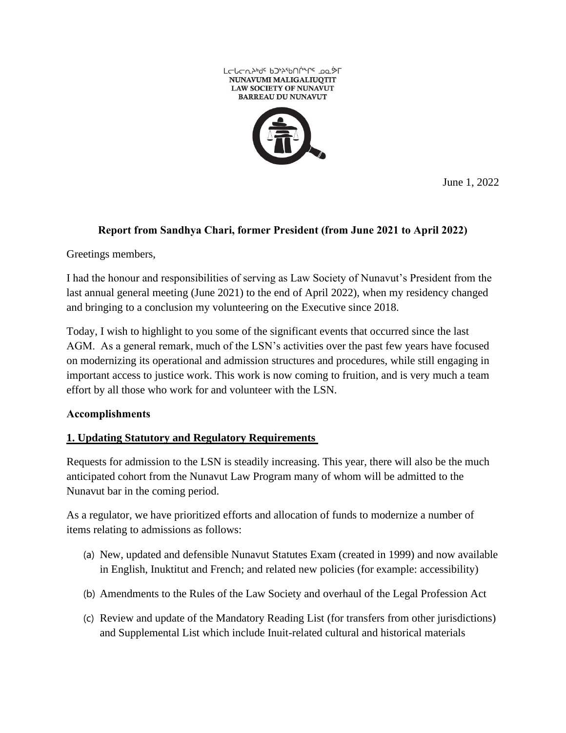

June 1, 2022

### **Report from Sandhya Chari, former President (from June 2021 to April 2022)**

Greetings members,

I had the honour and responsibilities of serving as Law Society of Nunavut's President from the last annual general meeting (June 2021) to the end of April 2022), when my residency changed and bringing to a conclusion my volunteering on the Executive since 2018.

Today, I wish to highlight to you some of the significant events that occurred since the last AGM. As a general remark, much of the LSN's activities over the past few years have focused on modernizing its operational and admission structures and procedures, while still engaging in important access to justice work. This work is now coming to fruition, and is very much a team effort by all those who work for and volunteer with the LSN.

#### **Accomplishments**

# **1. Updating Statutory and Regulatory Requirements**

Requests for admission to the LSN is steadily increasing. This year, there will also be the much anticipated cohort from the Nunavut Law Program many of whom will be admitted to the Nunavut bar in the coming period.

As a regulator, we have prioritized efforts and allocation of funds to modernize a number of items relating to admissions as follows:

- (a) New, updated and defensible Nunavut Statutes Exam (created in 1999) and now available in English, Inuktitut and French; and related new policies (for example: accessibility)
- (b) Amendments to the Rules of the Law Society and overhaul of the Legal Profession Act
- (c) Review and update of the Mandatory Reading List (for transfers from other jurisdictions) and Supplemental List which include Inuit-related cultural and historical materials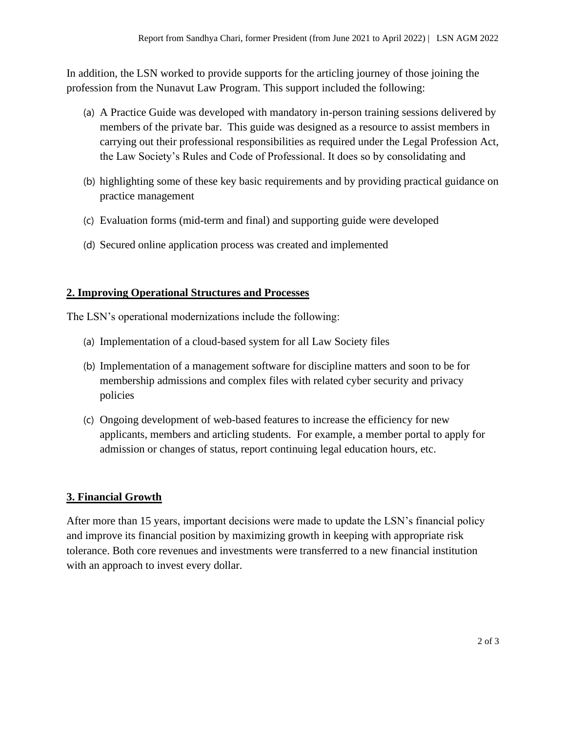In addition, the LSN worked to provide supports for the articling journey of those joining the profession from the Nunavut Law Program. This support included the following:

- (a) A Practice Guide was developed with mandatory in-person training sessions delivered by members of the private bar. This guide was designed as a resource to assist members in carrying out their professional responsibilities as required under the Legal Profession Act, the Law Society's Rules and Code of Professional. It does so by consolidating and
- (b) highlighting some of these key basic requirements and by providing practical guidance on practice management
- (c) Evaluation forms (mid-term and final) and supporting guide were developed
- (d) Secured online application process was created and implemented

### **2. Improving Operational Structures and Processes**

The LSN's operational modernizations include the following:

- (a) Implementation of a cloud-based system for all Law Society files
- (b) Implementation of a management software for discipline matters and soon to be for membership admissions and complex files with related cyber security and privacy policies
- (c) Ongoing development of web-based features to increase the efficiency for new applicants, members and articling students. For example, a member portal to apply for admission or changes of status, report continuing legal education hours, etc.

# **3. Financial Growth**

After more than 15 years, important decisions were made to update the LSN's financial policy and improve its financial position by maximizing growth in keeping with appropriate risk tolerance. Both core revenues and investments were transferred to a new financial institution with an approach to invest every dollar.